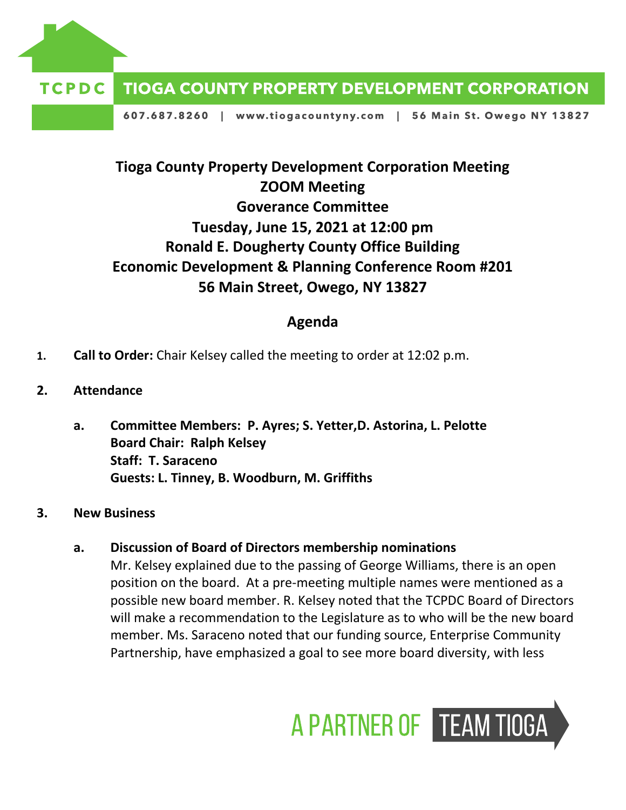

607.687.8260 | www.tiogacountyny.com | 56 Main St. Owego NY 13827

# **Tioga County Property Development Corporation Meeting ZOOM Meeting Goverance Committee Tuesday, June 15, 2021 at 12:00 pm Ronald E. Dougherty County Office Building Economic Development & Planning Conference Room #201 56 Main Street, Owego, NY 13827**

# **Agenda**

- **1. Call to Order:** Chair Kelsey called the meeting to order at 12:02 p.m.
- **2. Attendance**
	- **a. Committee Members: P. Ayres; S. Yetter,D. Astorina, L. Pelotte Board Chair: Ralph Kelsey Staff: T. Saraceno Guests: L. Tinney, B. Woodburn, M. Griffiths**
- **3. New Business**

# **a. Discussion of Board of Directors membership nominations**

Mr. Kelsey explained due to the passing of George Williams, there is an open position on the board. At a pre-meeting multiple names were mentioned as a possible new board member. R. Kelsey noted that the TCPDC Board of Directors will make a recommendation to the Legislature as to who will be the new board member. Ms. Saraceno noted that our funding source, Enterprise Community Partnership, have emphasized a goal to see more board diversity, with less

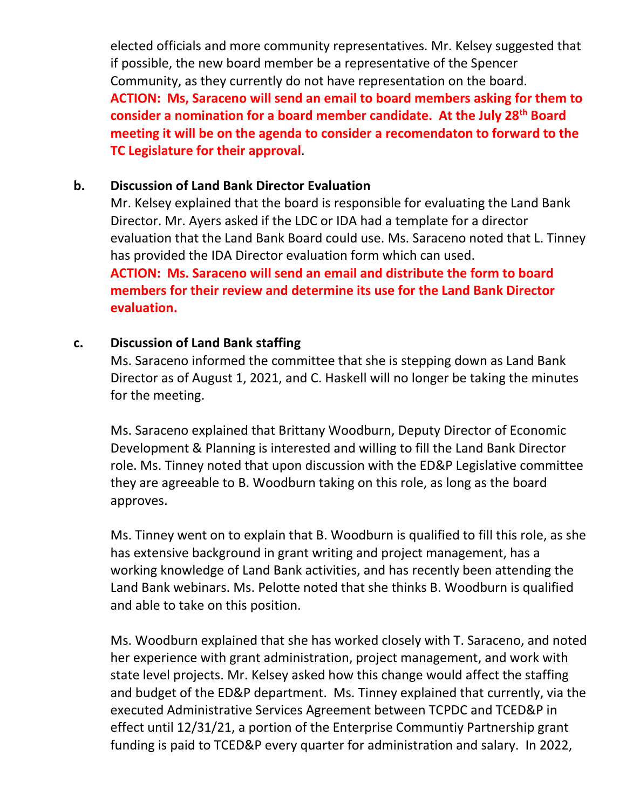elected officials and more community representatives. Mr. Kelsey suggested that if possible, the new board member be a representative of the Spencer Community, as they currently do not have representation on the board. **ACTION: Ms, Saraceno will send an email to board members asking for them to consider a nomination for a board member candidate. At the July 28th Board meeting it will be on the agenda to consider a recomendaton to forward to the TC Legislature for their approval**.

#### **b. Discussion of Land Bank Director Evaluation**

Mr. Kelsey explained that the board is responsible for evaluating the Land Bank Director. Mr. Ayers asked if the LDC or IDA had a template for a director evaluation that the Land Bank Board could use. Ms. Saraceno noted that L. Tinney has provided the IDA Director evaluation form which can used. **ACTION: Ms. Saraceno will send an email and distribute the form to board members for their review and determine its use for the Land Bank Director evaluation.** 

# **c. Discussion of Land Bank staffing**

Ms. Saraceno informed the committee that she is stepping down as Land Bank Director as of August 1, 2021, and C. Haskell will no longer be taking the minutes for the meeting.

Ms. Saraceno explained that Brittany Woodburn, Deputy Director of Economic Development & Planning is interested and willing to fill the Land Bank Director role. Ms. Tinney noted that upon discussion with the ED&P Legislative committee they are agreeable to B. Woodburn taking on this role, as long as the board approves.

Ms. Tinney went on to explain that B. Woodburn is qualified to fill this role, as she has extensive background in grant writing and project management, has a working knowledge of Land Bank activities, and has recently been attending the Land Bank webinars. Ms. Pelotte noted that she thinks B. Woodburn is qualified and able to take on this position.

Ms. Woodburn explained that she has worked closely with T. Saraceno, and noted her experience with grant administration, project management, and work with state level projects. Mr. Kelsey asked how this change would affect the staffing and budget of the ED&P department. Ms. Tinney explained that currently, via the executed Administrative Services Agreement between TCPDC and TCED&P in effect until 12/31/21, a portion of the Enterprise Communtiy Partnership grant funding is paid to TCED&P every quarter for administration and salary. In 2022,